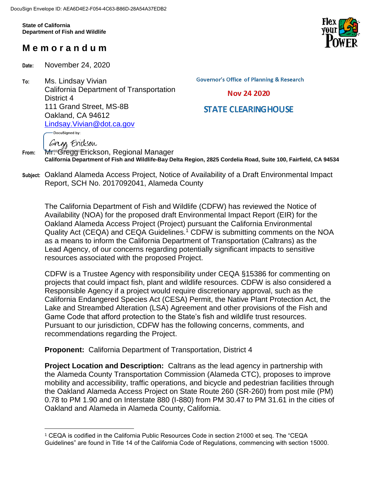**State of California Department of Fish and Wildlife**

# **M e m o r a n d u m**

**Date:** November 24, 2020

Gregs Erickson

 $\overline{a}$ 

**To:** Ms. Lindsay Vivian California Department of Transportation District 4 111 Grand Street, MS-8B Oakland, CA 94612 [Lindsay.Vivian@dot.ca.gov](mailto:Lindsay.Vivian@dot.ca.gov) DocuSigned by:

**Governor's Office of Planning & Research** 

### Nov 24 2020

# **STATE CLEARING HOUSE**

**From:** Mr<sup>ee</sup> Gregg<sup>o</sup> Erickson, Regional Manager **California Department of Fish and Wildlife-Bay Delta Region, 2825 Cordelia Road, Suite 100, Fairfield, CA 94534**

**Subject:** Oakland Alameda Access Project, Notice of Availability of a Draft Environmental Impact Report, SCH No. 2017092041, Alameda County

The California Department of Fish and Wildlife (CDFW) has reviewed the Notice of Availability (NOA) for the proposed draft Environmental Impact Report (EIR) for the Oakland Alameda Access Project (Project) pursuant the California Environmental Quality Act (CEQA) and CEQA Guidelines.<sup>1</sup> CDFW is submitting comments on the NOA as a means to inform the California Department of Transportation (Caltrans) as the Lead Agency, of our concerns regarding potentially significant impacts to sensitive resources associated with the proposed Project.

CDFW is a Trustee Agency with responsibility under CEQA §15386 for commenting on projects that could impact fish, plant and wildlife resources. CDFW is also considered a Responsible Agency if a project would require discretionary approval, such as the California Endangered Species Act (CESA) Permit, the Native Plant Protection Act, the Lake and Streambed Alteration (LSA) Agreement and other provisions of the Fish and Game Code that afford protection to the State's fish and wildlife trust resources. Pursuant to our jurisdiction, CDFW has the following concerns, comments, and recommendations regarding the Project.

**Proponent:** California Department of Transportation, District 4

**Project Location and Description:** Caltrans as the lead agency in partnership with the Alameda County Transportation Commission (Alameda CTC), proposes to improve mobility and accessibility, traffic operations, and bicycle and pedestrian facilities through the Oakland Alameda Access Project on State Route 260 (SR-260) from post mile (PM) 0.78 to PM 1.90 and on Interstate 880 (I-880) from PM 30.47 to PM 31.61 in the cities of Oakland and Alameda in Alameda County, California.



<sup>1</sup> CEQA is codified in the California Public Resources Code in section 21000 et seq. The "CEQA Guidelines" are found in Title 14 of the California Code of Regulations, commencing with section 15000.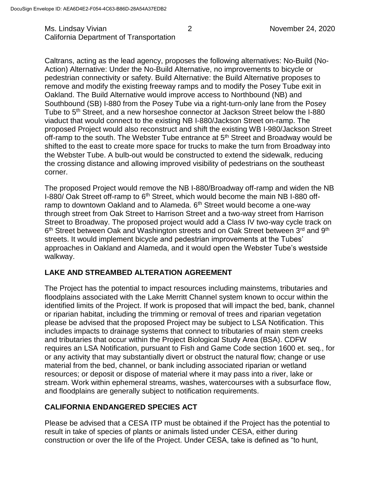Ms. Lindsay Vivian **2** 2 November 24, 2020 California Department of Transportation

Caltrans, acting as the lead agency, proposes the following alternatives: No-Build (No-Action) Alternative: Under the No-Build Alternative, no improvements to bicycle or pedestrian connectivity or safety. Build Alternative: the Build Alternative proposes to remove and modify the existing freeway ramps and to modify the Posey Tube exit in Oakland. The Build Alternative would improve access to Northbound (NB) and Southbound (SB) I-880 from the Posey Tube via a right-turn-only lane from the Posey Tube to 5th Street, and a new horseshoe connector at Jackson Street below the I-880 viaduct that would connect to the existing NB I-880/Jackson Street on-ramp. The proposed Project would also reconstruct and shift the existing WB I-980/Jackson Street off-ramp to the south. The Webster Tube entrance at 5<sup>th</sup> Street and Broadway would be shifted to the east to create more space for trucks to make the turn from Broadway into the Webster Tube. A bulb-out would be constructed to extend the sidewalk, reducing the crossing distance and allowing improved visibility of pedestrians on the southeast corner.

The proposed Project would remove the NB I-880/Broadway off-ramp and widen the NB I-880/ Oak Street off-ramp to 6<sup>th</sup> Street, which would become the main NB I-880 offramp to downtown Oakland and to Alameda. 6<sup>th</sup> Street would become a one-way through street from Oak Street to Harrison Street and a two-way street from Harrison Street to Broadway. The proposed project would add a Class IV two-way cycle track on 6<sup>th</sup> Street between Oak and Washington streets and on Oak Street between 3<sup>rd</sup> and 9<sup>th</sup> streets. It would implement bicycle and pedestrian improvements at the Tubes' approaches in Oakland and Alameda, and it would open the Webster Tube's westside walkway.

# **LAKE AND STREAMBED ALTERATION AGREEMENT**

The Project has the potential to impact resources including mainstems, tributaries and floodplains associated with the Lake Merritt Channel system known to occur within the identified limits of the Project. If work is proposed that will impact the bed, bank, channel or riparian habitat, including the trimming or removal of trees and riparian vegetation please be advised that the proposed Project may be subject to LSA Notification. This includes impacts to drainage systems that connect to tributaries of main stem creeks and tributaries that occur within the Project Biological Study Area (BSA). CDFW requires an LSA Notification, pursuant to Fish and Game Code section 1600 et. seq., for or any activity that may substantially divert or obstruct the natural flow; change or use material from the bed, channel, or bank including associated riparian or wetland resources; or deposit or dispose of material where it may pass into a river, lake or stream. Work within ephemeral streams, washes, watercourses with a subsurface flow, and floodplains are generally subject to notification requirements.

# **CALIFORNIA ENDANGERED SPECIES ACT**

Please be advised that a CESA ITP must be obtained if the Project has the potential to result in take of species of plants or animals listed under CESA, either during construction or over the life of the Project. Under CESA, take is defined as "to hunt,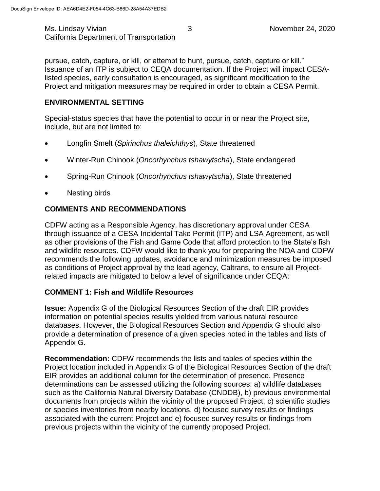Ms. Lindsay Vivian **November 24, 2020** 3 California Department of Transportation

pursue, catch, capture, or kill, or attempt to hunt, pursue, catch, capture or kill." Issuance of an ITP is subject to CEQA documentation. If the Project will impact CESAlisted species, early consultation is encouraged, as significant modification to the Project and mitigation measures may be required in order to obtain a CESA Permit.

# **ENVIRONMENTAL SETTING**

Special-status species that have the potential to occur in or near the Project site, include, but are not limited to:

- Longfin Smelt (*Spirinchus thaleichthys*), State threatened
- Winter-Run Chinook (*Oncorhynchus tshawytscha*), State endangered
- Spring-Run Chinook (*Oncorhynchus tshawytscha*), State threatened
- Nesting birds

# **COMMENTS AND RECOMMENDATIONS**

CDFW acting as a Responsible Agency, has discretionary approval under CESA through issuance of a CESA Incidental Take Permit (ITP) and LSA Agreement, as well as other provisions of the Fish and Game Code that afford protection to the State's fish and wildlife resources. CDFW would like to thank you for preparing the NOA and CDFW recommends the following updates, avoidance and minimization measures be imposed as conditions of Project approval by the lead agency, Caltrans, to ensure all Projectrelated impacts are mitigated to below a level of significance under CEQA:

# **COMMENT 1: Fish and Wildlife Resources**

**Issue:** Appendix G of the Biological Resources Section of the draft EIR provides information on potential species results yielded from various natural resource databases. However, the Biological Resources Section and Appendix G should also provide a determination of presence of a given species noted in the tables and lists of Appendix G.

**Recommendation:** CDFW recommends the lists and tables of species within the Project location included in Appendix G of the Biological Resources Section of the draft EIR provides an additional column for the determination of presence. Presence determinations can be assessed utilizing the following sources: a) wildlife databases such as the California Natural Diversity Database (CNDDB), b) previous environmental documents from projects within the vicinity of the proposed Project, c) scientific studies or species inventories from nearby locations, d) focused survey results or findings associated with the current Project and e) focused survey results or findings from previous projects within the vicinity of the currently proposed Project.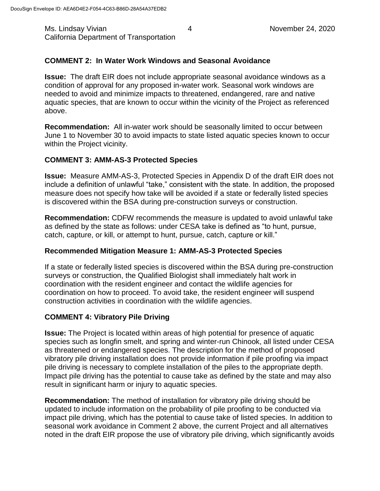Ms. Lindsay Vivian **1 November 24, 2020** Assessment Assessment Assessment Assessment Assessment Assessment Assess California Department of Transportation

# **COMMENT 2: In Water Work Windows and Seasonal Avoidance**

**Issue:** The draft EIR does not include appropriate seasonal avoidance windows as a condition of approval for any proposed in-water work. Seasonal work windows are needed to avoid and minimize impacts to threatened, endangered, rare and native aquatic species, that are known to occur within the vicinity of the Project as referenced above.

**Recommendation:** All in-water work should be seasonally limited to occur between June 1 to November 30 to avoid impacts to state listed aquatic species known to occur within the Project vicinity.

#### **COMMENT 3: AMM-AS-3 Protected Species**

**Issue:** Measure AMM-AS-3, Protected Species in Appendix D of the draft EIR does not include a definition of unlawful "take," consistent with the state. In addition, the proposed measure does not specify how take will be avoided if a state or federally listed species is discovered within the BSA during pre-construction surveys or construction.

**Recommendation:** CDFW recommends the measure is updated to avoid unlawful take as defined by the state as follows: under CESA take is defined as "to hunt, pursue, catch, capture, or kill, or attempt to hunt, pursue, catch, capture or kill."

#### **Recommended Mitigation Measure 1: AMM-AS-3 Protected Species**

If a state or federally listed species is discovered within the BSA during pre-construction surveys or construction, the Qualified Biologist shall immediately halt work in coordination with the resident engineer and contact the wildlife agencies for coordination on how to proceed. To avoid take, the resident engineer will suspend construction activities in coordination with the wildlife agencies.

# **COMMENT 4: Vibratory Pile Driving**

**Issue:** The Project is located within areas of high potential for presence of aquatic species such as longfin smelt, and spring and winter-run Chinook, all listed under CESA as threatened or endangered species. The description for the method of proposed vibratory pile driving installation does not provide information if pile proofing via impact pile driving is necessary to complete installation of the piles to the appropriate depth. Impact pile driving has the potential to cause take as defined by the state and may also result in significant harm or injury to aquatic species.

**Recommendation:** The method of installation for vibratory pile driving should be updated to include information on the probability of pile proofing to be conducted via impact pile driving, which has the potential to cause take of listed species. In addition to seasonal work avoidance in Comment 2 above, the current Project and all alternatives noted in the draft EIR propose the use of vibratory pile driving, which significantly avoids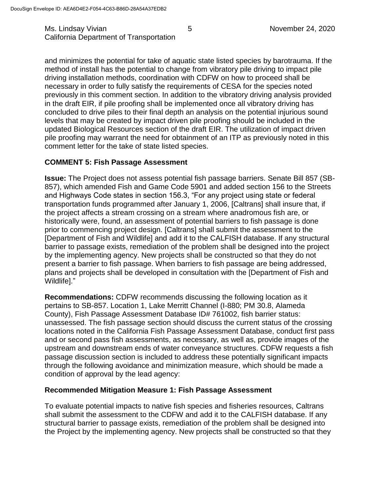Ms. Lindsay Vivian **November 24, 2020** Superintendent Assember 24, 2020 California Department of Transportation

and minimizes the potential for take of aquatic state listed species by barotrauma. If the method of install has the potential to change from vibratory pile driving to impact pile driving installation methods, coordination with CDFW on how to proceed shall be necessary in order to fully satisfy the requirements of CESA for the species noted previously in this comment section. In addition to the vibratory driving analysis provided in the draft EIR, if pile proofing shall be implemented once all vibratory driving has concluded to drive piles to their final depth an analysis on the potential injurious sound levels that may be created by impact driven pile proofing should be included in the updated Biological Resources section of the draft EIR. The utilization of impact driven pile proofing may warrant the need for obtainment of an ITP as previously noted in this comment letter for the take of state listed species.

#### **COMMENT 5: Fish Passage Assessment**

**Issue:** The Project does not assess potential fish passage barriers. Senate Bill 857 (SB-857), which amended Fish and Game Code 5901 and added section 156 to the Streets and Highways Code states in section 156.3, "For any project using state or federal transportation funds programmed after January 1, 2006, [Caltrans] shall insure that, if the project affects a stream crossing on a stream where anadromous fish are, or historically were, found, an assessment of potential barriers to fish passage is done prior to commencing project design. [Caltrans] shall submit the assessment to the [Department of Fish and Wildlife] and add it to the CALFISH database. If any structural barrier to passage exists, remediation of the problem shall be designed into the project by the implementing agency. New projects shall be constructed so that they do not present a barrier to fish passage. When barriers to fish passage are being addressed, plans and projects shall be developed in consultation with the [Department of Fish and Wildlife]."

**Recommendations:** CDFW recommends discussing the following location as it pertains to SB-857. Location 1, Lake Merritt Channel (I-880; PM 30.8, Alameda County), Fish Passage Assessment Database ID# 761002, fish barrier status: unassessed. The fish passage section should discuss the current status of the crossing locations noted in the California Fish Passage Assessment Database, conduct first pass and or second pass fish assessments, as necessary, as well as, provide images of the upstream and downstream ends of water conveyance structures. CDFW requests a fish passage discussion section is included to address these potentially significant impacts through the following avoidance and minimization measure, which should be made a condition of approval by the lead agency:

#### **Recommended Mitigation Measure 1: Fish Passage Assessment**

To evaluate potential impacts to native fish species and fisheries resources, Caltrans shall submit the assessment to the CDFW and add it to the CALFISH database. If any structural barrier to passage exists, remediation of the problem shall be designed into the Project by the implementing agency. New projects shall be constructed so that they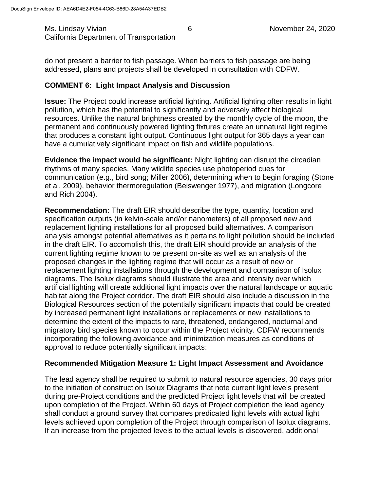Ms. Lindsay Vivian **1988** Company 10 Company 10 G intervals and the November 24, 2020 California Department of Transportation

do not present a barrier to fish passage. When barriers to fish passage are being addressed, plans and projects shall be developed in consultation with CDFW.

# **COMMENT 6: Light Impact Analysis and Discussion**

**Issue:** The Project could increase artificial lighting. Artificial lighting often results in light pollution, which has the potential to significantly and adversely affect biological resources. Unlike the natural brightness created by the monthly cycle of the moon, the permanent and continuously powered lighting fixtures create an unnatural light regime that produces a constant light output. Continuous light output for 365 days a year can have a cumulatively significant impact on fish and wildlife populations.

**Evidence the impact would be significant:** Night lighting can disrupt the circadian rhythms of many species. Many wildlife species use photoperiod cues for communication (e.g., bird song; Miller 2006), determining when to begin foraging (Stone et al. 2009), behavior thermoregulation (Beiswenger 1977), and migration (Longcore and Rich 2004).

**Recommendation:** The draft EIR should describe the type, quantity, location and specification outputs (in kelvin-scale and/or nanometers) of all proposed new and replacement lighting installations for all proposed build alternatives. A comparison analysis amongst potential alternatives as it pertains to light pollution should be included in the draft EIR. To accomplish this, the draft EIR should provide an analysis of the current lighting regime known to be present on-site as well as an analysis of the proposed changes in the lighting regime that will occur as a result of new or replacement lighting installations through the development and comparison of Isolux diagrams. The Isolux diagrams should illustrate the area and intensity over which artificial lighting will create additional light impacts over the natural landscape or aquatic habitat along the Project corridor. The draft EIR should also include a discussion in the Biological Resources section of the potentially significant impacts that could be created by increased permanent light installations or replacements or new installations to determine the extent of the impacts to rare, threatened, endangered, nocturnal and migratory bird species known to occur within the Project vicinity. CDFW recommends incorporating the following avoidance and minimization measures as conditions of approval to reduce potentially significant impacts:

# **Recommended Mitigation Measure 1: Light Impact Assessment and Avoidance**

The lead agency shall be required to submit to natural resource agencies, 30 days prior to the initiation of construction Isolux Diagrams that note current light levels present during pre-Project conditions and the predicted Project light levels that will be created upon completion of the Project. Within 60 days of Project completion the lead agency shall conduct a ground survey that compares predicated light levels with actual light levels achieved upon completion of the Project through comparison of Isolux diagrams. If an increase from the projected levels to the actual levels is discovered, additional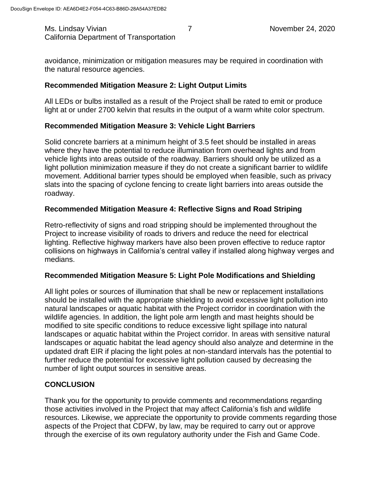Ms. Lindsay Vivian **7** November 24, 2020 California Department of Transportation

avoidance, minimization or mitigation measures may be required in coordination with the natural resource agencies.

# **Recommended Mitigation Measure 2: Light Output Limits**

All LEDs or bulbs installed as a result of the Project shall be rated to emit or produce light at or under 2700 kelvin that results in the output of a warm white color spectrum.

# **Recommended Mitigation Measure 3: Vehicle Light Barriers**

Solid concrete barriers at a minimum height of 3.5 feet should be installed in areas where they have the potential to reduce illumination from overhead lights and from vehicle lights into areas outside of the roadway. Barriers should only be utilized as a light pollution minimization measure if they do not create a significant barrier to wildlife movement. Additional barrier types should be employed when feasible, such as privacy slats into the spacing of cyclone fencing to create light barriers into areas outside the roadway.

# **Recommended Mitigation Measure 4: Reflective Signs and Road Striping**

Retro-reflectivity of signs and road stripping should be implemented throughout the Project to increase visibility of roads to drivers and reduce the need for electrical lighting. Reflective highway markers have also been proven effective to reduce raptor collisions on highways in California's central valley if installed along highway verges and medians.

# **Recommended Mitigation Measure 5: Light Pole Modifications and Shielding**

All light poles or sources of illumination that shall be new or replacement installations should be installed with the appropriate shielding to avoid excessive light pollution into natural landscapes or aquatic habitat with the Project corridor in coordination with the wildlife agencies. In addition, the light pole arm length and mast heights should be modified to site specific conditions to reduce excessive light spillage into natural landscapes or aquatic habitat within the Project corridor. In areas with sensitive natural landscapes or aquatic habitat the lead agency should also analyze and determine in the updated draft EIR if placing the light poles at non-standard intervals has the potential to further reduce the potential for excessive light pollution caused by decreasing the number of light output sources in sensitive areas.

# **CONCLUSION**

Thank you for the opportunity to provide comments and recommendations regarding those activities involved in the Project that may affect California's fish and wildlife resources. Likewise, we appreciate the opportunity to provide comments regarding those aspects of the Project that CDFW, by law, may be required to carry out or approve through the exercise of its own regulatory authority under the Fish and Game Code.